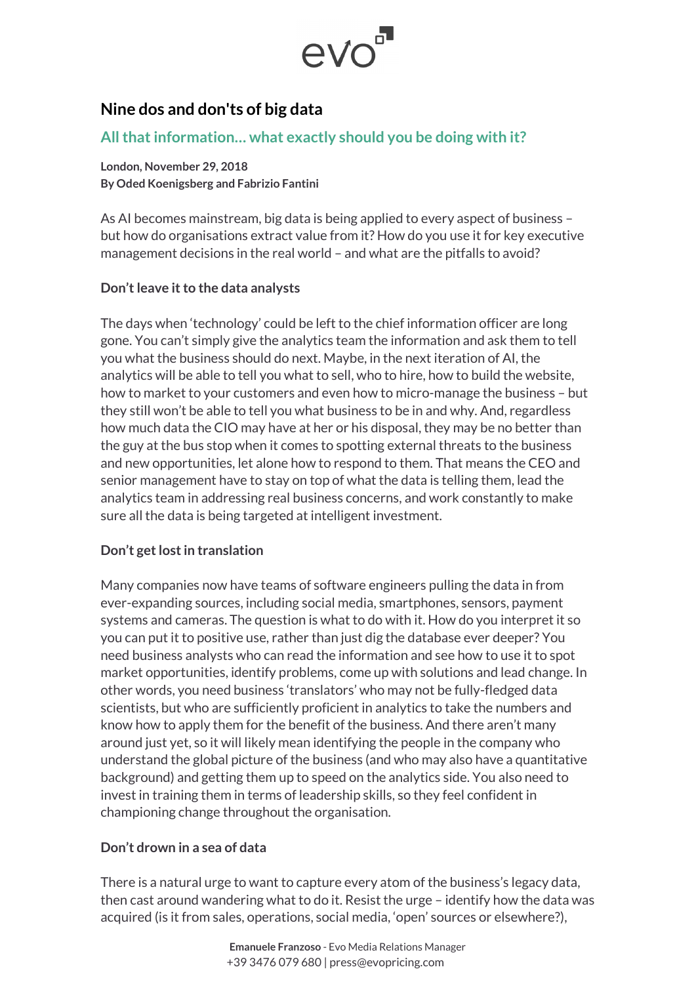

# **Nine dos and don'ts of big data**

# **All that information… what exactly should you be doing with it?**

**London, November 29, 2018 By Oded Koenigsberg and Fabrizio Fantini**

As AI becomes mainstream, big data is being applied to every aspect of business – but how do organisations extract value from it? How do you use it for key executive management decisions in the real world – and what are the pitfalls to avoid?

### **Don't leave it to the data analysts**

The days when 'technology' could be left to the chief information officer are long gone. You can't simply give the analytics team the information and ask them to tell you what the business should do next. Maybe, in the next iteration of AI, the analytics will be able to tell you what to sell, who to hire, how to build the website, how to market to your customers and even how to micro-manage the business – but they still won't be able to tell you what business to be in and why. And, regardless how much data the CIO may have at her or his disposal, they may be no better than the guy at the bus stop when it comes to spotting external threats to the business and new opportunities, let alone how to respond to them. That means the CEO and senior management have to stay on top of what the data is telling them, lead the analytics team in addressing real business concerns, and work constantly to make sure all the data is being targeted at intelligent investment.

# **Don't get lost in translation**

Many companies now have teams of software engineers pulling the data in from ever-expanding sources, including social media, smartphones, sensors, payment systems and cameras. The question is what to do with it. How do you interpret it so you can put it to positive use, rather than just dig the database ever deeper? You need business analysts who can read the information and see how to use it to spot market opportunities, identify problems, come up with solutions and lead change. In other words, you need business 'translators' who may not be fully-fledged data scientists, but who are sufficiently proficient in analytics to take the numbers and know how to apply them for the benefit of the business. And there aren't many around just yet, so it will likely mean identifying the people in the company who understand the global picture of the business (and who may also have a quantitative background) and getting them up to speed on the analytics side. You also need to invest in training them in terms of leadership skills, so they feel confident in championing change throughout the organisation.

# **Don't drown in a sea of data**

There is a natural urge to want to capture every atom of the business's legacy data, then cast around wandering what to do it. Resist the urge – identify how the data was acquired (is it from sales, operations, social media, 'open' sources or elsewhere?),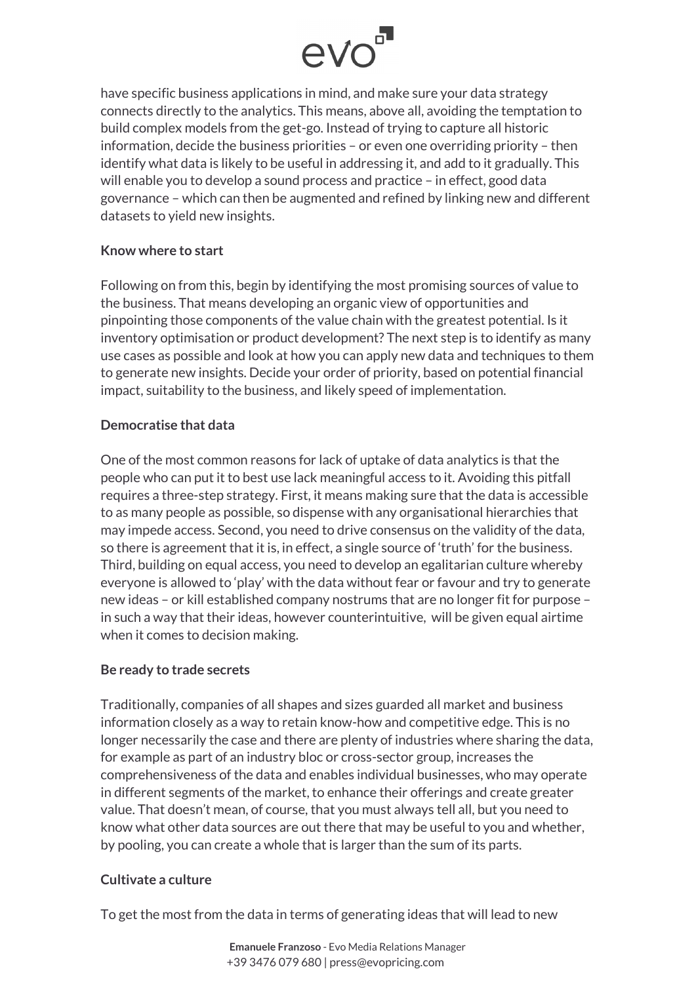

have specific business applications in mind, and make sure your data strategy connects directly to the analytics. This means, above all, avoiding the temptation to build complex models from the get-go. Instead of trying to capture all historic information, decide the business priorities – or even one overriding priority – then identify what data is likely to be useful in addressing it, and add to it gradually. This will enable you to develop a sound process and practice – in effect, good data governance – which can then be augmented and refined by linking new and different datasets to yield new insights.

#### **Know where to start**

Following on from this, begin by identifying the most promising sources of value to the business. That means developing an organic view of opportunities and pinpointing those components of the value chain with the greatest potential. Is it inventory optimisation or product development? The next step is to identify as many use cases as possible and look at how you can apply new data and techniques to them to generate new insights. Decide your order of priority, based on potential financial impact, suitability to the business, and likely speed of implementation.

#### **Democratise that data**

One of the most common reasons for lack of uptake of data analytics is that the people who can put it to best use lack meaningful access to it. Avoiding this pitfall requires a three-step strategy. First, it means making sure that the data is accessible to as many people as possible, so dispense with any organisational hierarchies that may impede access. Second, you need to drive consensus on the validity of the data, so there is agreement that it is, in effect, a single source of 'truth' for the business. Third, building on equal access, you need to develop an egalitarian culture whereby everyone is allowed to 'play' with the data without fear or favour and try to generate new ideas – or kill established company nostrums that are no longer fit for purpose – in such a way that their ideas, however counterintuitive, will be given equal airtime when it comes to decision making.

#### **Be ready to trade secrets**

Traditionally, companies of all shapes and sizes guarded all market and business information closely as a way to retain know-how and competitive edge. This is no longer necessarily the case and there are plenty of industries where sharing the data, for example as part of an industry bloc or cross-sector group, increases the comprehensiveness of the data and enables individual businesses, who may operate in different segments of the market, to enhance their offerings and create greater value. That doesn't mean, of course, that you must always tell all, but you need to know what other data sources are out there that may be useful to you and whether, by pooling, you can create a whole that is larger than the sum of its parts.

#### **Cultivate a culture**

To get the most from the data in terms of generating ideas that will lead to new